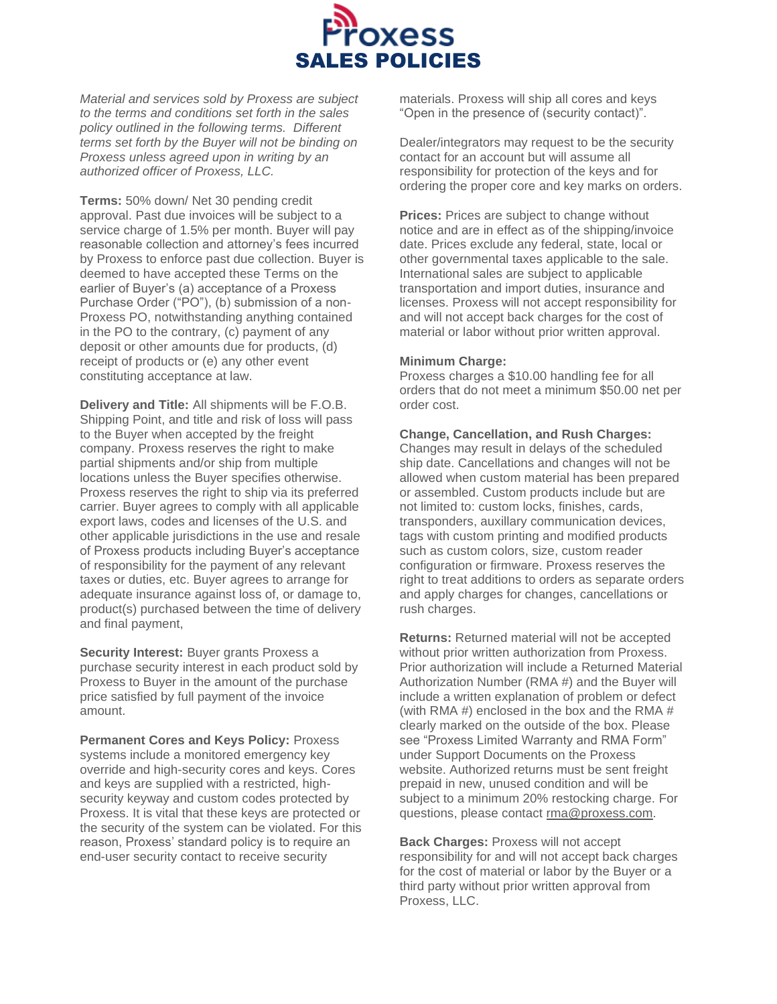

*Material and services sold by Proxess are subject to the terms and conditions set forth in the sales policy outlined in the following terms. Different terms set forth by the Buyer will not be binding on Proxess unless agreed upon in writing by an authorized officer of Proxess, LLC.*

**Terms:** 50% down/ Net 30 pending credit approval. Past due invoices will be subject to a service charge of 1.5% per month. Buyer will pay reasonable collection and attorney's fees incurred by Proxess to enforce past due collection. Buyer is deemed to have accepted these Terms on the earlier of Buyer's (a) acceptance of a Proxess Purchase Order ("PO"), (b) submission of a non-Proxess PO, notwithstanding anything contained in the PO to the contrary, (c) payment of any deposit or other amounts due for products, (d) receipt of products or (e) any other event constituting acceptance at law.

**Delivery and Title:** All shipments will be F.O.B. Shipping Point, and title and risk of loss will pass to the Buyer when accepted by the freight company. Proxess reserves the right to make partial shipments and/or ship from multiple locations unless the Buyer specifies otherwise. Proxess reserves the right to ship via its preferred carrier. Buyer agrees to comply with all applicable export laws, codes and licenses of the U.S. and other applicable jurisdictions in the use and resale of Proxess products including Buyer's acceptance of responsibility for the payment of any relevant taxes or duties, etc. Buyer agrees to arrange for adequate insurance against loss of, or damage to, product(s) purchased between the time of delivery and final payment,

**Security Interest: Buyer grants Proxess a** purchase security interest in each product sold by Proxess to Buyer in the amount of the purchase price satisfied by full payment of the invoice amount.

**Permanent Cores and Keys Policy:** Proxess systems include a monitored emergency key override and high-security cores and keys. Cores and keys are supplied with a restricted, highsecurity keyway and custom codes protected by Proxess. It is vital that these keys are protected or the security of the system can be violated. For this reason, Proxess' standard policy is to require an end-user security contact to receive security

materials. Proxess will ship all cores and keys "Open in the presence of (security contact)".

Dealer/integrators may request to be the security contact for an account but will assume all responsibility for protection of the keys and for ordering the proper core and key marks on orders.

**Prices:** Prices are subject to change without notice and are in effect as of the shipping/invoice date. Prices exclude any federal, state, local or other governmental taxes applicable to the sale. International sales are subject to applicable transportation and import duties, insurance and licenses. Proxess will not accept responsibility for and will not accept back charges for the cost of material or labor without prior written approval.

## **Minimum Charge:**

Proxess charges a \$10.00 handling fee for all orders that do not meet a minimum \$50.00 net per order cost.

## **Change, Cancellation, and Rush Charges:**

Changes may result in delays of the scheduled ship date. Cancellations and changes will not be allowed when custom material has been prepared or assembled. Custom products include but are not limited to: custom locks, finishes, cards, transponders, auxillary communication devices, tags with custom printing and modified products such as custom colors, size, custom reader configuration or firmware. Proxess reserves the right to treat additions to orders as separate orders and apply charges for changes, cancellations or rush charges.

**Returns:** Returned material will not be accepted without prior written authorization from Proxess. Prior authorization will include a Returned Material Authorization Number (RMA #) and the Buyer will include a written explanation of problem or defect (with RMA #) enclosed in the box and the RMA # clearly marked on the outside of the box. Please see "Proxess Limited Warranty and RMA Form" under Support Documents on the Proxess website. Authorized returns must be sent freight prepaid in new, unused condition and will be subject to a minimum 20% restocking charge. For questions, please contact [rma@proxess.com.](mailto:rma@proxess.com)

**Back Charges:** Proxess will not accept responsibility for and will not accept back charges for the cost of material or labor by the Buyer or a third party without prior written approval from Proxess, LLC.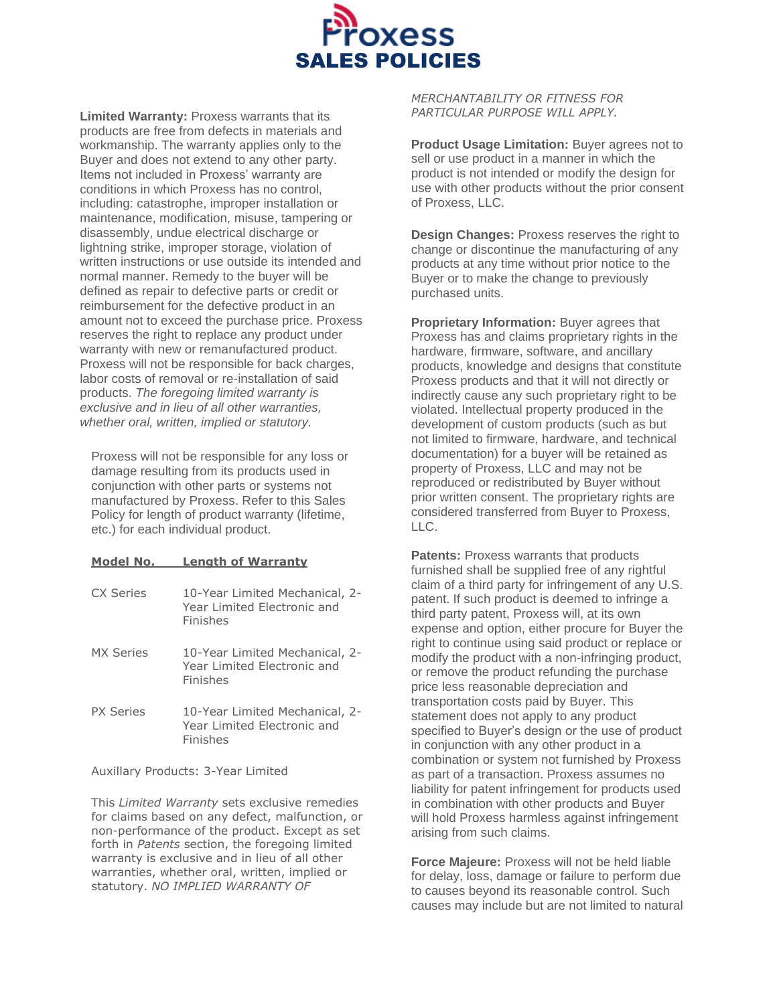

**Limited Warranty:** Proxess warrants that its products are free from defects in materials and workmanship. The warranty applies only to the Buyer and does not extend to any other party. Items not included in Proxess' warranty are conditions in which Proxess has no control, including: catastrophe, improper installation or maintenance, modification, misuse, tampering or disassembly, undue electrical discharge or lightning strike, improper storage, violation of written instructions or use outside its intended and normal manner. Remedy to the buyer will be defined as repair to defective parts or credit or reimbursement for the defective product in an amount not to exceed the purchase price. Proxess reserves the right to replace any product under warranty with new or remanufactured product. Proxess will not be responsible for back charges, labor costs of removal or re-installation of said products. *The foregoing limited warranty is exclusive and in lieu of all other warranties, whether oral, written, implied or statutory.*

Proxess will not be responsible for any loss or damage resulting from its products used in conjunction with other parts or systems not manufactured by Proxess. Refer to this Sales Policy for length of product warranty (lifetime, etc.) for each individual product.

## **Model No. Length of Warranty**

| CX Series        | 10-Year Limited Mechanical, 2-<br>Year Limited Electronic and<br>Finishes |
|------------------|---------------------------------------------------------------------------|
| <b>MX Series</b> | 10-Year Limited Mechanical, 2-<br>Year Limited Electronic and<br>Finishes |
| <b>PX Series</b> | 10-Year Limited Mechanical, 2-<br>Year Limited Electronic and<br>Finishes |

Auxillary Products: 3-Year Limited

This *Limited Warranty* sets exclusive remedies for claims based on any defect, malfunction, or non-performance of the product. Except as set forth in *Patents* section, the foregoing limited warranty is exclusive and in lieu of all other warranties, whether oral, written, implied or statutory. *NO IMPLIED WARRANTY OF* 

*MERCHANTABILITY OR FITNESS FOR PARTICULAR PURPOSE WILL APPLY.*

**Product Usage Limitation:** Buyer agrees not to sell or use product in a manner in which the product is not intended or modify the design for use with other products without the prior consent of Proxess, LLC.

**Design Changes:** Proxess reserves the right to change or discontinue the manufacturing of any products at any time without prior notice to the Buyer or to make the change to previously purchased units.

**Proprietary Information:** Buyer agrees that Proxess has and claims proprietary rights in the hardware, firmware, software, and ancillary products, knowledge and designs that constitute Proxess products and that it will not directly or indirectly cause any such proprietary right to be violated. Intellectual property produced in the development of custom products (such as but not limited to firmware, hardware, and technical documentation) for a buyer will be retained as property of Proxess, LLC and may not be reproduced or redistributed by Buyer without prior written consent. The proprietary rights are considered transferred from Buyer to Proxess,  $\sqcup$  C.

**Patents: Proxess warrants that products** furnished shall be supplied free of any rightful claim of a third party for infringement of any U.S. patent. If such product is deemed to infringe a third party patent, Proxess will, at its own expense and option, either procure for Buyer the right to continue using said product or replace or modify the product with a non-infringing product, or remove the product refunding the purchase price less reasonable depreciation and transportation costs paid by Buyer. This statement does not apply to any product specified to Buyer's design or the use of product in conjunction with any other product in a combination or system not furnished by Proxess as part of a transaction. Proxess assumes no liability for patent infringement for products used in combination with other products and Buyer will hold Proxess harmless against infringement arising from such claims.

**Force Majeure:** Proxess will not be held liable for delay, loss, damage or failure to perform due to causes beyond its reasonable control. Such causes may include but are not limited to natural